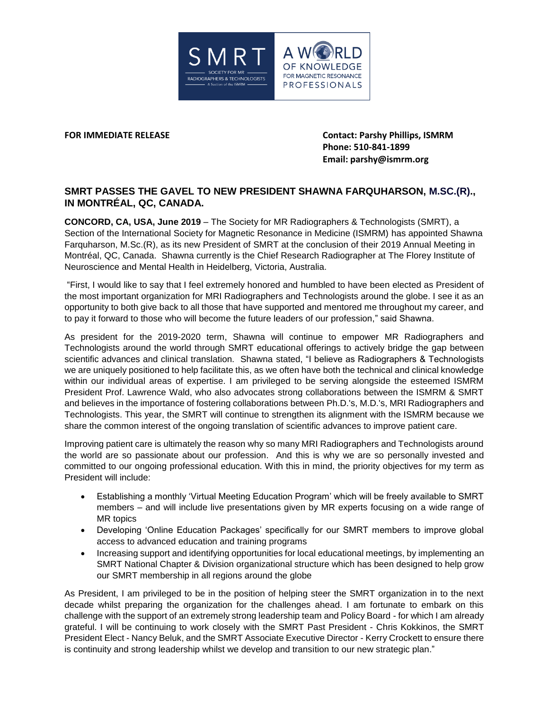

**FOR IMMEDIATE RELEASE Contact: Parshy Phillips, ISMRM Phone: 510-841-1899 Email: parshy@ismrm.org**

## **SMRT PASSES THE GAVEL TO NEW PRESIDENT SHAWNA FARQUHARSON, M.SC.(R)., IN MONTRÉAL, QC, CANADA.**

**CONCORD, CA, USA, June 2019** – The Society for MR Radiographers & Technologists (SMRT), a Section of the International Society for Magnetic Resonance in Medicine (ISMRM) has appointed Shawna Farquharson, M.Sc.(R), as its new President of SMRT at the conclusion of their 2019 Annual Meeting in Montréal, QC, Canada. Shawna currently is the Chief Research Radiographer at The Florey Institute of Neuroscience and Mental Health in Heidelberg, Victoria, Australia.

"First, I would like to say that I feel extremely honored and humbled to have been elected as President of the most important organization for MRI Radiographers and Technologists around the globe. I see it as an opportunity to both give back to all those that have supported and mentored me throughout my career, and to pay it forward to those who will become the future leaders of our profession," said Shawna.

As president for the 2019-2020 term, Shawna will continue to empower MR Radiographers and Technologists around the world through SMRT educational offerings to actively bridge the gap between scientific advances and clinical translation. Shawna stated, "I believe as Radiographers & Technologists we are uniquely positioned to help facilitate this, as we often have both the technical and clinical knowledge within our individual areas of expertise. I am privileged to be serving alongside the esteemed ISMRM President Prof. Lawrence Wald, who also advocates strong collaborations between the ISMRM & SMRT and believes in the importance of fostering collaborations between Ph.D.'s, M.D.'s, MRI Radiographers and Technologists. This year, the SMRT will continue to strengthen its alignment with the ISMRM because we share the common interest of the ongoing translation of scientific advances to improve patient care.

Improving patient care is ultimately the reason why so many MRI Radiographers and Technologists around the world are so passionate about our profession. And this is why we are so personally invested and committed to our ongoing professional education. With this in mind, the priority objectives for my term as President will include:

- Establishing a monthly 'Virtual Meeting Education Program' which will be freely available to SMRT members – and will include live presentations given by MR experts focusing on a wide range of MR topics
- Developing 'Online Education Packages' specifically for our SMRT members to improve global access to advanced education and training programs
- Increasing support and identifying opportunities for local educational meetings, by implementing an SMRT National Chapter & Division organizational structure which has been designed to help grow our SMRT membership in all regions around the globe

As President, I am privileged to be in the position of helping steer the SMRT organization in to the next decade whilst preparing the organization for the challenges ahead. I am fortunate to embark on this challenge with the support of an extremely strong leadership team and Policy Board - for which I am already grateful. I will be continuing to work closely with the SMRT Past President - Chris Kokkinos, the SMRT President Elect - Nancy Beluk, and the SMRT Associate Executive Director - Kerry Crockett to ensure there is continuity and strong leadership whilst we develop and transition to our new strategic plan."